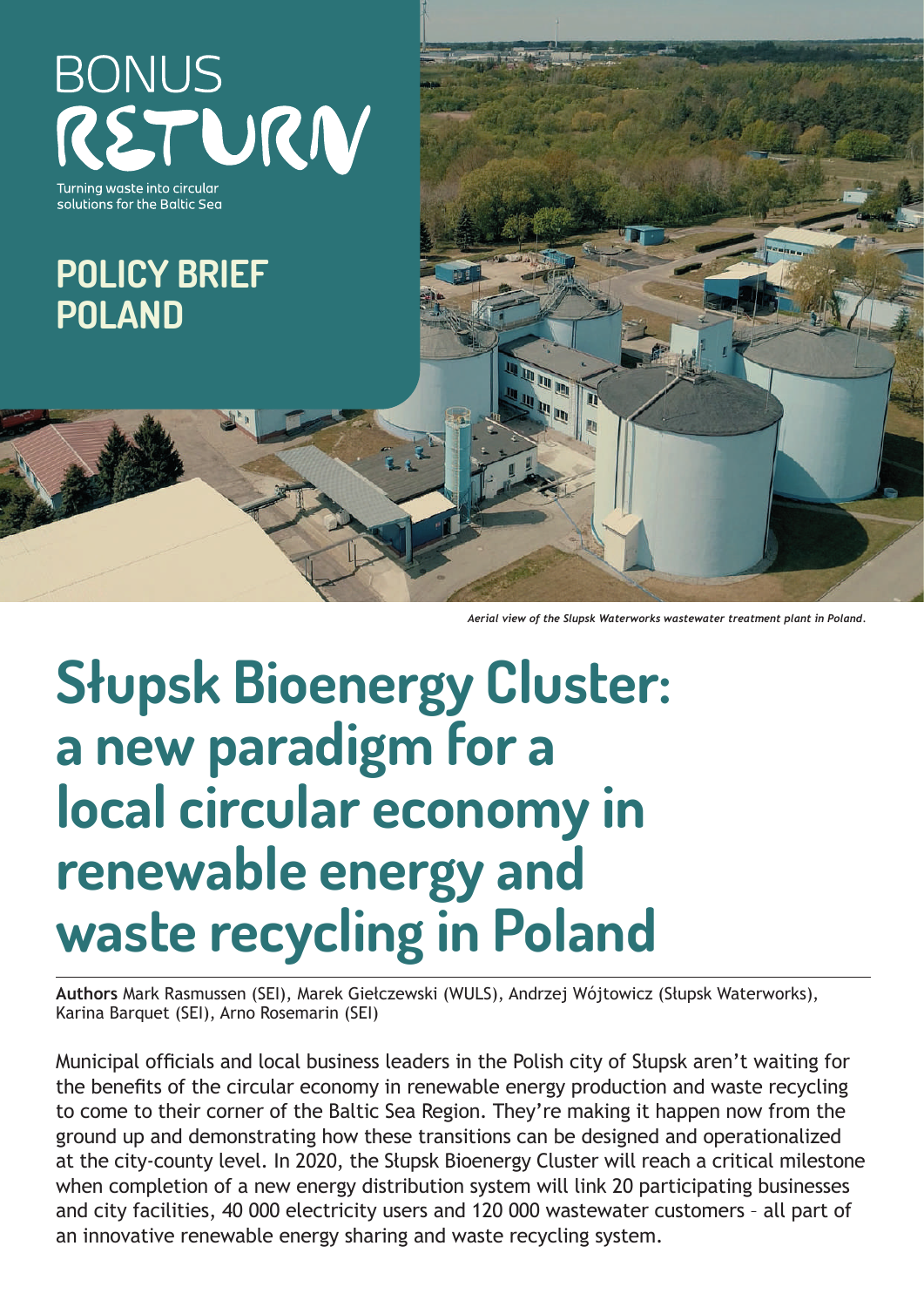**BONUS** RETURN

urnina waste into circulai solutions for the Baltic Sea

# **POLICY BRIEF POLAND**

*Aerial view of the Slupsk Waterworks wastewater treatment plant in Poland.*

# **Słupsk Bioenergy Cluster: a new paradigm for a local circular economy in renewable energy and waste recycling in Poland**

**Authors** Mark Rasmussen (SEI), Marek Giełczewski (WULS), Andrzej Wójtowicz (Słupsk Waterworks), Karina Barquet (SEI), Arno Rosemarin (SEI)

Municipal officials and local business leaders in the Polish city of Słupsk aren't waiting for the benefits of the circular economy in renewable energy production and waste recycling to come to their corner of the Baltic Sea Region. They're making it happen now from the ground up and demonstrating how these transitions can be designed and operationalized at the city-county level. In 2020, the Słupsk Bioenergy Cluster will reach a critical milestone when completion of a new energy distribution system will link 20 participating businesses and city facilities, 40 000 electricity users and 120 000 wastewater customers – all part of an innovative renewable energy sharing and waste recycling system.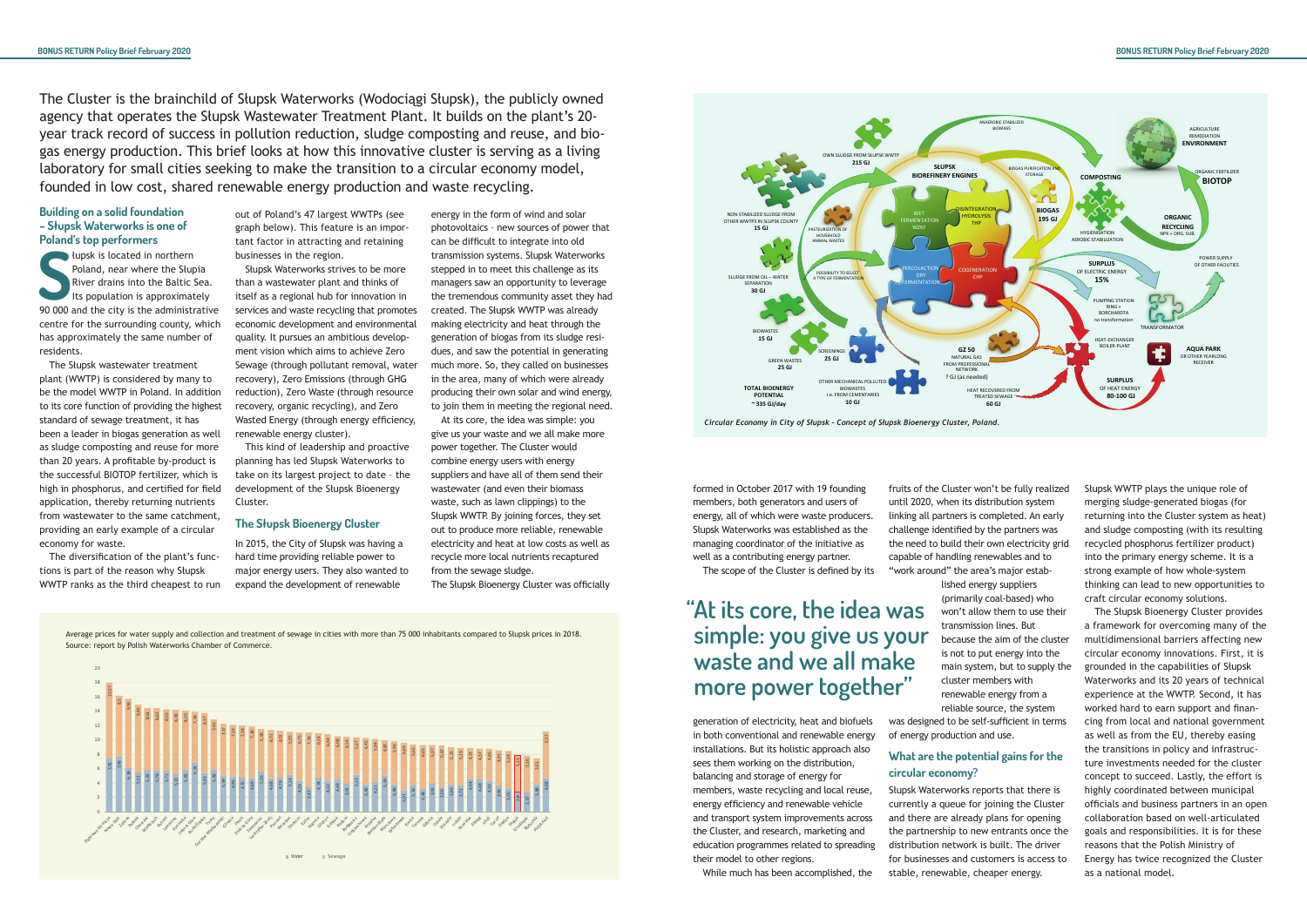### **Building on a solid foundation – Słupsk Waterworks is one of Poland's top performers**

Frank is located in northern<br>
Poland, near where the Stupia<br>
River drains into the Baltic Sea.<br>
Its population is approximately<br>
90 000 and the city is the administrative łupsk is located in northern Poland, near where the Słupia River drains into the Baltic Sea. Its population is approximately centre for the surrounding county, which has approximately the same number of residents.

The Słupsk wastewater treatment plant (WWTP) is considered by many to be the model WWTP in Poland. In addition to its core function of providing the highest standard of sewage treatment, it has been a leader in biogas generation as well as sludge composting and reuse for more than 20 years. A profitable by-product is the successful BIOTOP fertilizer, which is high in phosphorus, and certified for field application, thereby returning nutrients from wastewater to the same catchment, providing an early example of a circular economy for waste.

The diversification of the plant's functions is part of the reason why Słupsk WWTP ranks as the third cheapest to run out of Poland's 47 largest WWTPs (see graph below). This feature is an important factor in attracting and retaining businesses in the region.

Słupsk Waterworks strives to be more than a wastewater plant and thinks of itself as a regional hub for innovation in services and waste recycling that promotes economic development and environmental quality. It pursues an ambitious development vision which aims to achieve Zero Sewage (through pollutant removal, water recovery), Zero Emissions (through GHG reduction), Zero Waste (through resource recovery, organic recycling), and Zero Wasted Energy (through energy efficiency, renewable energy cluster).

This kind of leadership and proactive planning has led Słupsk Waterworks to take on its largest project to date – the development of the Słupsk Bioenergy Cluster.

#### **The Słupsk Bioenergy Cluster**

In 2015, the City of Słupsk was having a hard time providing reliable power to major energy users. They also wanted to expand the development of renewable

energy in the form of wind and solar photovoltaics – new sources of power that can be difficult to integrate into old transmission systems. Słupsk Waterworks stepped in to meet this challenge as its managers saw an opportunity to leverage the tremendous community asset they had created. The Słupsk WWTP was already making electricity and heat through the generation of biogas from its sludge residues, and saw the potential in generating much more. So, they called on businesses in the area, many of which were already producing their own solar and wind energy, to join them in meeting the regional need.

At its core, the idea was simple: you give us your waste and we all make more power together. The Cluster would combine energy users with energy suppliers and have all of them send their wastewater (and even their biomass waste, such as lawn clippings) to the Słupsk WWTP. By joining forces, they set out to produce more reliable, renewable electricity and heat at low costs as well as recycle more local nutrients recaptured from the sewage sludge.

The Słupsk Bioenergy Cluster was officially

The Cluster is the brainchild of Słupsk Waterworks (Wodociągi Słupsk), the publicly owned agency that operates the Słupsk Wastewater Treatment Plant. It builds on the plant's 20 year track record of success in pollution reduction, sludge composting and reuse, and biogas energy production. This brief looks at how this innovative cluster is serving as a living laboratory for small cities seeking to make the transition to a circular economy model, founded in low cost, shared renewable energy production and waste recycling.

> formed in October 2017 with 19 founding members, both generators and users of energy, all of which were waste producers. Słupsk Waterworks was established as the managing coordinator of the initiative as well as a contributing energy partner.

The scope of the Cluster is defined by its

generation of electricity, heat and biofuels in both conventional and renewable energy installations. But its holistic approach also sees them working on the distribution, balancing and storage of energy for members, waste recycling and local reuse, energy efficiency and renewable vehicle and transport system improvements across the Cluster, and research, marketing and education programmes related to spreading their model to other regions.

While much has been accomplished, the

werage prices for water supply and collection and treatment of sewage in cities with more than 75 000 inhabitants compared to Słupsk prices in 2018. Source: report by Polish Waterworks Chamber of Commerce.

fruits of the Cluster won't be fully realized until 2020, when its distribution system linking all partners is completed. An early challenge identified by the partners was the need to build their own electricity grid capable of handling renewables and to "work around" the area's major established energy suppliers (primarily coal-based) who won't allow them to use their transmission lines. But because the aim of the cluster is not to put energy into the main system, but to supply the cluster members with renewable energy from a reliable source, the system was designed to be self-sufficient in terms of energy production and use.

# **What are the potential gains for the circular economy?**

Słupsk Waterworks reports that there is currently a queue for joining the Cluster and there are already plans for opening the partnership to new entrants once the distribution network is built. The driver for businesses and customers is access to stable, renewable, cheaper energy.

Słupsk WWTP plays the unique role of merging sludge-generated biogas (for returning into the Cluster system as heat) and sludge composting (with its resulting recycled phosphorus fertilizer product) into the primary energy scheme. It is a strong example of how whole-system thinking can lead to new opportunities to craft circular economy solutions.

The Słupsk Bioenergy Cluster provides a framework for overcoming many of the multidimensional barriers affecting new circular economy innovations. First, it is grounded in the capabilities of Słupsk Waterworks and its 20 years of technical experience at the WWTP. Second, it has worked hard to earn support and financing from local and national government as well as from the EU, thereby easing the transitions in policy and infrastructure investments needed for the cluster concept to succeed. Lastly, the effort is highly coordinated between municipal officials and business partners in an open collaboration based on well-articulated goals and responsibilities. It is for these reasons that the Polish Ministry of Energy has twice recognized the Cluster as a national model.

**"At its core, the idea was simple: you give us your waste and we all make more power together"**